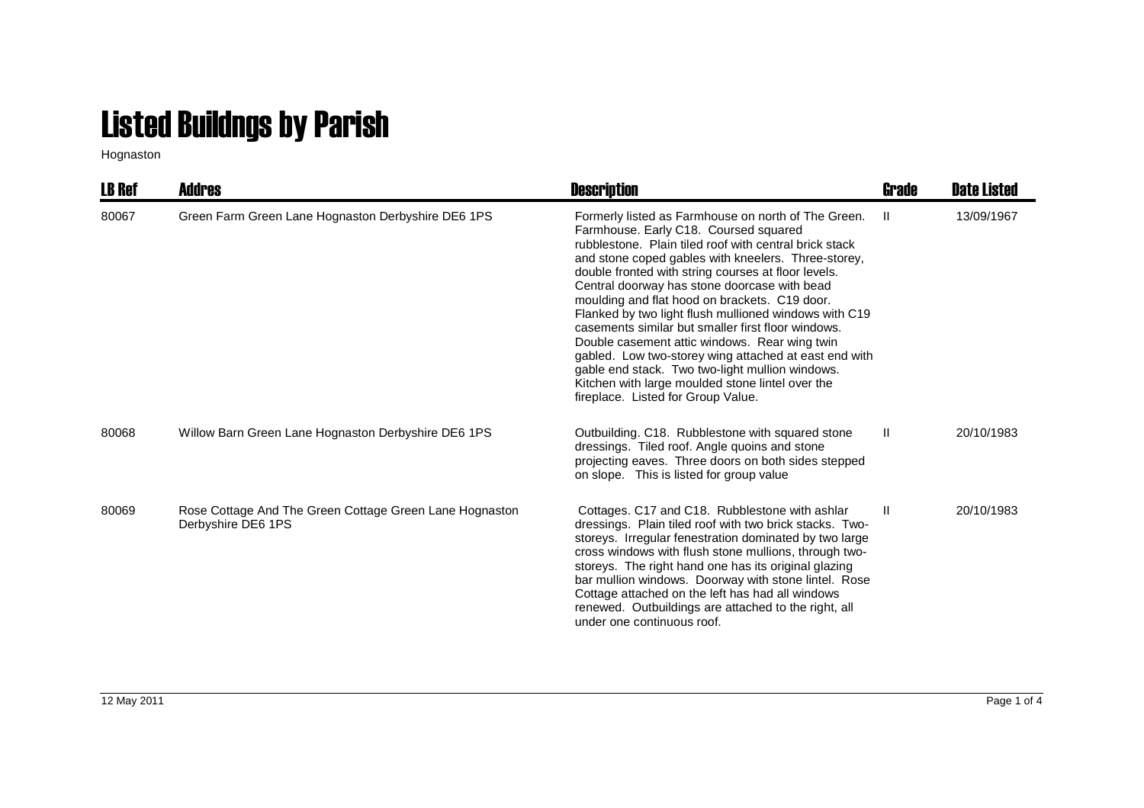## Listed Buildngs by Parish

Hognaston

| <b>LB Ref</b> | Addres                                                                        | <b>Description</b>                                                                                                                                                                                                                                                                                                                                                                                                                                                                                                                                                                                                                                                                                                                          | Grade        | <b>Date Listed</b> |
|---------------|-------------------------------------------------------------------------------|---------------------------------------------------------------------------------------------------------------------------------------------------------------------------------------------------------------------------------------------------------------------------------------------------------------------------------------------------------------------------------------------------------------------------------------------------------------------------------------------------------------------------------------------------------------------------------------------------------------------------------------------------------------------------------------------------------------------------------------------|--------------|--------------------|
| 80067         | Green Farm Green Lane Hognaston Derbyshire DE6 1PS                            | Formerly listed as Farmhouse on north of The Green.<br>Farmhouse. Early C18. Coursed squared<br>rubblestone. Plain tiled roof with central brick stack<br>and stone coped gables with kneelers. Three-storey,<br>double fronted with string courses at floor levels.<br>Central doorway has stone doorcase with bead<br>moulding and flat hood on brackets. C19 door.<br>Flanked by two light flush mullioned windows with C19<br>casements similar but smaller first floor windows.<br>Double casement attic windows. Rear wing twin<br>gabled. Low two-storey wing attached at east end with<br>gable end stack. Two two-light mullion windows.<br>Kitchen with large moulded stone lintel over the<br>fireplace. Listed for Group Value. | -11          | 13/09/1967         |
| 80068         | Willow Barn Green Lane Hognaston Derbyshire DE6 1PS                           | Outbuilding. C18. Rubblestone with squared stone<br>dressings. Tiled roof. Angle quoins and stone<br>projecting eaves. Three doors on both sides stepped<br>on slope. This is listed for group value                                                                                                                                                                                                                                                                                                                                                                                                                                                                                                                                        | $\mathbf{H}$ | 20/10/1983         |
| 80069         | Rose Cottage And The Green Cottage Green Lane Hognaston<br>Derbyshire DE6 1PS | Cottages. C17 and C18. Rubblestone with ashlar<br>dressings. Plain tiled roof with two brick stacks. Two-<br>storeys. Irregular fenestration dominated by two large<br>cross windows with flush stone mullions, through two-<br>storeys. The right hand one has its original glazing<br>bar mullion windows. Doorway with stone lintel. Rose<br>Cottage attached on the left has had all windows<br>renewed. Outbuildings are attached to the right, all<br>under one continuous roof.                                                                                                                                                                                                                                                      | H.           | 20/10/1983         |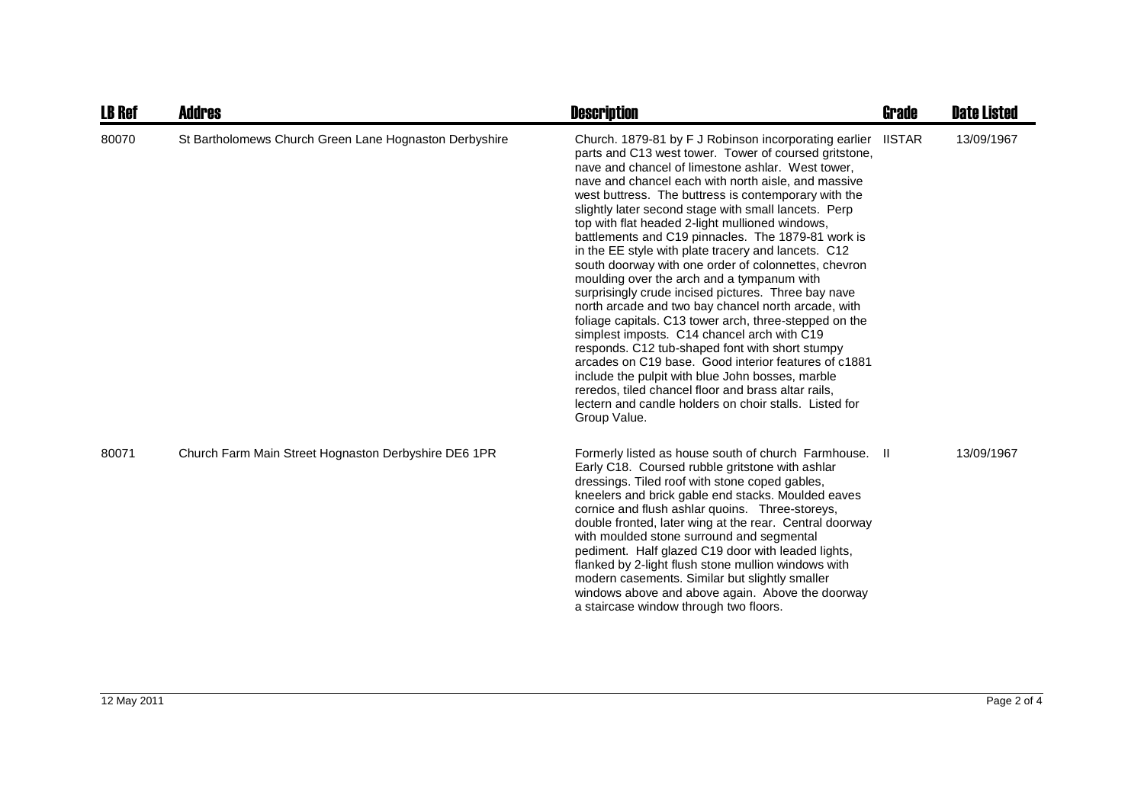| <b>LB Ref</b> | <b>Addres</b>                                          | <b>Description</b>                                                                                                                                                                                                                                                                                                                                                                                                                                                                                                                                                                                                                                                                                                                                                                                                                                                                                                                                                                                                                                                                                                                      | <b>Grade</b>  | <b>Date Listed</b> |
|---------------|--------------------------------------------------------|-----------------------------------------------------------------------------------------------------------------------------------------------------------------------------------------------------------------------------------------------------------------------------------------------------------------------------------------------------------------------------------------------------------------------------------------------------------------------------------------------------------------------------------------------------------------------------------------------------------------------------------------------------------------------------------------------------------------------------------------------------------------------------------------------------------------------------------------------------------------------------------------------------------------------------------------------------------------------------------------------------------------------------------------------------------------------------------------------------------------------------------------|---------------|--------------------|
| 80070         | St Bartholomews Church Green Lane Hognaston Derbyshire | Church. 1879-81 by F J Robinson incorporating earlier<br>parts and C13 west tower. Tower of coursed gritstone,<br>nave and chancel of limestone ashlar. West tower,<br>nave and chancel each with north aisle, and massive<br>west buttress. The buttress is contemporary with the<br>slightly later second stage with small lancets. Perp<br>top with flat headed 2-light mullioned windows,<br>battlements and C19 pinnacles. The 1879-81 work is<br>in the EE style with plate tracery and lancets. C12<br>south doorway with one order of colonnettes, chevron<br>moulding over the arch and a tympanum with<br>surprisingly crude incised pictures. Three bay nave<br>north arcade and two bay chancel north arcade, with<br>foliage capitals. C13 tower arch, three-stepped on the<br>simplest imposts. C14 chancel arch with C19<br>responds. C12 tub-shaped font with short stumpy<br>arcades on C19 base. Good interior features of c1881<br>include the pulpit with blue John bosses, marble<br>reredos, tiled chancel floor and brass altar rails,<br>lectern and candle holders on choir stalls. Listed for<br>Group Value. | <b>IISTAR</b> | 13/09/1967         |
| 80071         | Church Farm Main Street Hognaston Derbyshire DE6 1PR   | Formerly listed as house south of church Farmhouse. II<br>Early C18. Coursed rubble gritstone with ashlar<br>dressings. Tiled roof with stone coped gables,<br>kneelers and brick gable end stacks. Moulded eaves<br>cornice and flush ashlar quoins. Three-storeys,<br>double fronted, later wing at the rear. Central doorway<br>with moulded stone surround and segmental<br>pediment. Half glazed C19 door with leaded lights,<br>flanked by 2-light flush stone mullion windows with<br>modern casements. Similar but slightly smaller<br>windows above and above again. Above the doorway<br>a staircase window through two floors.                                                                                                                                                                                                                                                                                                                                                                                                                                                                                               |               | 13/09/1967         |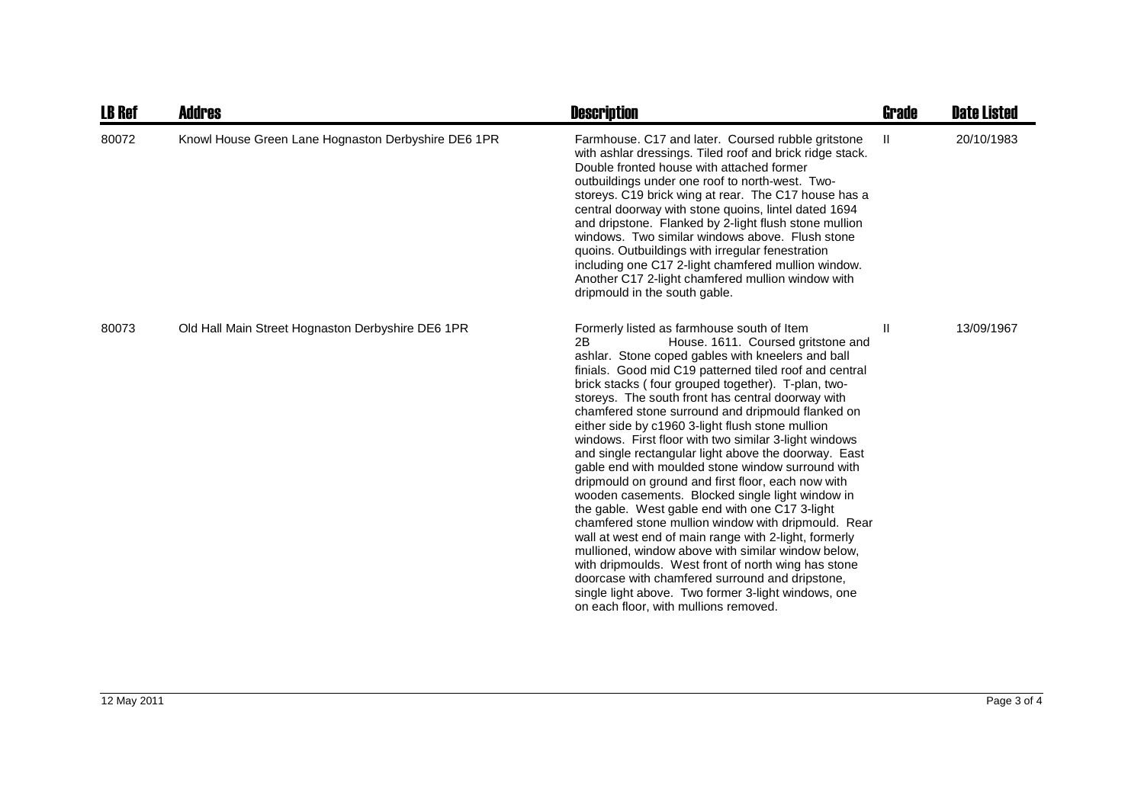| <b>LB Ref</b> | <b>Addres</b>                                       | <b>Description</b>                                                                                                                                                                                                                                                                                                                                                                                                                                                                                                                                                                                                                                                                                                                                                                                                                                                                                                                                                                                                                                                                                                                          | Grade | <b>Date Listed</b> |
|---------------|-----------------------------------------------------|---------------------------------------------------------------------------------------------------------------------------------------------------------------------------------------------------------------------------------------------------------------------------------------------------------------------------------------------------------------------------------------------------------------------------------------------------------------------------------------------------------------------------------------------------------------------------------------------------------------------------------------------------------------------------------------------------------------------------------------------------------------------------------------------------------------------------------------------------------------------------------------------------------------------------------------------------------------------------------------------------------------------------------------------------------------------------------------------------------------------------------------------|-------|--------------------|
| 80072         | Knowl House Green Lane Hognaston Derbyshire DE6 1PR | Farmhouse. C17 and later. Coursed rubble gritstone<br>with ashlar dressings. Tiled roof and brick ridge stack.<br>Double fronted house with attached former<br>outbuildings under one roof to north-west. Two-<br>storeys. C19 brick wing at rear. The C17 house has a<br>central doorway with stone quoins, lintel dated 1694<br>and dripstone. Flanked by 2-light flush stone mullion<br>windows. Two similar windows above. Flush stone<br>quoins. Outbuildings with irregular fenestration<br>including one C17 2-light chamfered mullion window.<br>Another C17 2-light chamfered mullion window with<br>dripmould in the south gable.                                                                                                                                                                                                                                                                                                                                                                                                                                                                                                 | Ш     | 20/10/1983         |
| 80073         | Old Hall Main Street Hognaston Derbyshire DE6 1PR   | Formerly listed as farmhouse south of Item<br>2B<br>House. 1611. Coursed gritstone and<br>ashlar. Stone coped gables with kneelers and ball<br>finials. Good mid C19 patterned tiled roof and central<br>brick stacks (four grouped together). T-plan, two-<br>storeys. The south front has central doorway with<br>chamfered stone surround and dripmould flanked on<br>either side by c1960 3-light flush stone mullion<br>windows. First floor with two similar 3-light windows<br>and single rectangular light above the doorway. East<br>gable end with moulded stone window surround with<br>dripmould on ground and first floor, each now with<br>wooden casements. Blocked single light window in<br>the gable. West gable end with one C17 3-light<br>chamfered stone mullion window with dripmould. Rear<br>wall at west end of main range with 2-light, formerly<br>mullioned, window above with similar window below,<br>with dripmoulds. West front of north wing has stone<br>doorcase with chamfered surround and dripstone,<br>single light above. Two former 3-light windows, one<br>on each floor, with mullions removed. | H.    | 13/09/1967         |